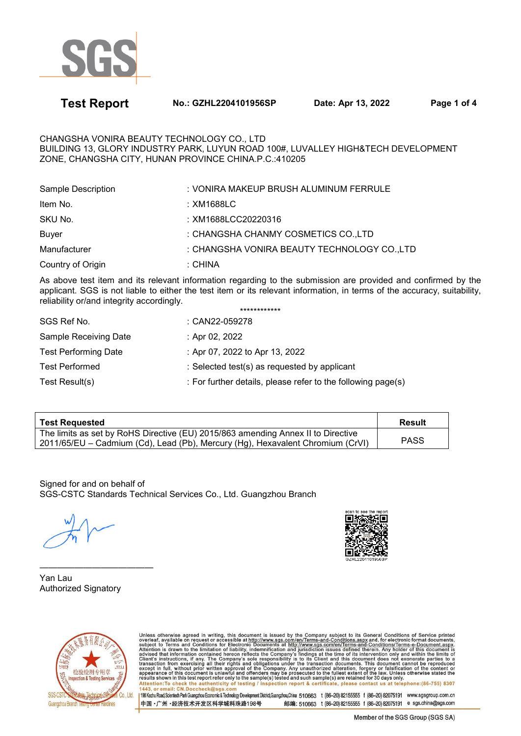

**Test Report No.: GZHL2204101956SP Date: Apr 13, 2022 Page 1 of 4** 

CHANGSHA VONIRA BEAUTY TECHNOLOGY CO., LTD BUILDING 13, GLORY INDUSTRY PARK, LUYUN ROAD 100#, LUVALLEY HIGH&TECH DEVELOPMENT ZONE, CHANGSHA CITY, HUNAN PROVINCE CHINA.P.C.:410205

| Sample Description | : VONIRA MAKEUP BRUSH ALUMINUM FERRULE      |
|--------------------|---------------------------------------------|
| Item No.           | :XM1688LC                                   |
| SKU No.            | : XM1688LCC20220316                         |
| <b>Buyer</b>       | : CHANGSHA CHANMY COSMETICS CO., LTD        |
| Manufacturer       | : CHANGSHA VONIRA BEAUTY TECHNOLOGY CO.,LTD |
| Country of Origin  | : CHINA                                     |

As above test item and its relevant information regarding to the submission are provided and confirmed by the applicant. SGS is not liable to either the test item or its relevant information, in terms of the accuracy, suitability, reliability or/and integrity accordingly. \*\*\*\*\*\*\*\*\*\*\*\*

|                             | ************                                                 |
|-----------------------------|--------------------------------------------------------------|
| SGS Ref No.                 | : CAN22-059278                                               |
| Sample Receiving Date       | : Apr 02, 2022                                               |
| <b>Test Performing Date</b> | : Apr 07, 2022 to Apr 13, 2022                               |
| <b>Test Performed</b>       | : Selected test(s) as requested by applicant                 |
| Test Result(s)              | : For further details, please refer to the following page(s) |
|                             |                                                              |

| <b>Test Requested</b>                                                                                                                                              | Result      |
|--------------------------------------------------------------------------------------------------------------------------------------------------------------------|-------------|
| The limits as set by RoHS Directive (EU) 2015/863 amending Annex II to Directive<br>2011/65/EU – Cadmium (Cd), Lead (Pb), Mercury (Hg), Hexavalent Chromium (CrVI) | <b>PASS</b> |

Signed for and on behalf of SGS-CSTC Standards Technical Services Co., Ltd. Guangzhou Branch



————————————— Yan Lau Authorized Signatory



Unless otherwise agreed in writing, this document is issued by the Company subject to its General Conditions of Service printed<br>overleaf, available on request or accessible at http://www.sgs.com/en/Terms-and-Conditions.asp Attention: To check the authenticity of testing / inspection report & certificate, please contact us at telephone: (86-755) 8307<br>1443, or email: CN.Doccheck@sqs.com 198 Kezhu Road,Scientech Park Guangzhou Economic & Technology Development District,Guangzhou,China 510663 t (86-20) 82155555 f (86-20) 82075191 www.sgsgroup.com.cn

中国·广州·经济技术开发区科学城科珠路198号 邮编: 510663 t (86-20) 82155555 f (86-20) 82075191 e sgs.china@sgs.com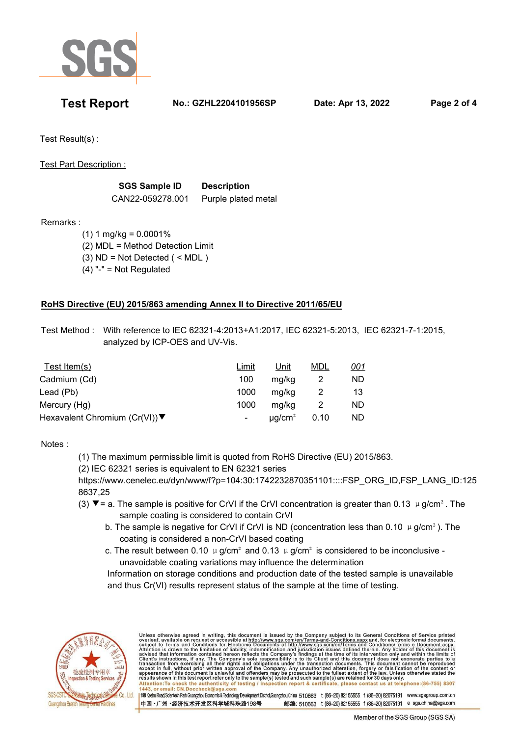

**Test Report No.: GZHL2204101956SP Date: Apr 13, 2022 Page 2 of 4** 

Test Result(s) :

Test Part Description :

| <b>SGS Sample ID</b> | <b>Description</b>  |
|----------------------|---------------------|
| CAN22-059278.001     | Purple plated metal |

Remarks :

 $(1)$  1 mg/kg = 0.0001% (2) MDL = Method Detection Limit (3) ND = Not Detected ( < MDL )  $(4)$  "-" = Not Regulated

## **RoHS Directive (EU) 2015/863 amending Annex II to Directive 2011/65/EU**

 Test Method : With reference to IEC 62321-4:2013+A1:2017, IEC 62321-5:2013, IEC 62321-7-1:2015, analyzed by ICP-OES and UV-Vis.

| Test Item $(s)$                | Limit | Unit                    | MDL  | <u>001</u> |
|--------------------------------|-------|-------------------------|------|------------|
| Cadmium (Cd)                   | 100   | ma/ka                   |      | ND.        |
| Lead (Pb)                      | 1000  | ma/ka                   |      | 13         |
| Mercury (Hg)                   | 1000  | ma/ka                   |      | ND.        |
| Hexavalent Chromium (Cr(VI)) ▼ |       | $\mu$ q/cm <sup>2</sup> | 0.10 | ND.        |

Notes :

(1) The maximum permissible limit is quoted from RoHS Directive (EU) 2015/863.

(2) IEC 62321 series is equivalent to EN 62321 series

 https://www.cenelec.eu/dyn/www/f?p=104:30:1742232870351101::::FSP\_ORG\_ID,FSP\_LANG\_ID:125 8637,25

- (3)  $\blacktriangledown$  = a. The sample is positive for CrVI if the CrVI concentration is greater than 0.13  $\mu$  g/cm<sup>2</sup>. The sample coating is considered to contain CrVI
	- b. The sample is negative for CrVI if CrVI is ND (concentration less than 0.10  $\mu$  g/cm<sup>2</sup>). The coating is considered a non-CrVI based coating
	- c. The result between 0.10  $\mu$  g/cm<sup>2</sup> and 0.13  $\mu$  g/cm<sup>2</sup> is considered to be inconclusive unavoidable coating variations may influence the determination

 Information on storage conditions and production date of the tested sample is unavailable and thus Cr(VI) results represent status of the sample at the time of testing.



Unless otherwise agreed in writing, this document is issued by the Company subject to its General Conditions of Service printed<br>overleaf, available on request or accessible at http://www.sgs.com/en/Terms-and-Conditions.asp Attention:To check the authenticity of testing / inspection report & certificate, please contact us at telephone:(86-755) 8307 1443, or email: CN.Doccheck@sgs 198 Kezhu Road,Scientech Park Guangzhou Economic & Technology Development District Guangzhou,China 510663 t (86-20) 82155555 f (86-20) 82075191 www.sgsgroup.com.cn 中国·广州·经济技术开发区科学城科珠路198号 邮编: 510663 t (86-20) 82155555 f (86-20) 82075191 e sgs.china@sgs.com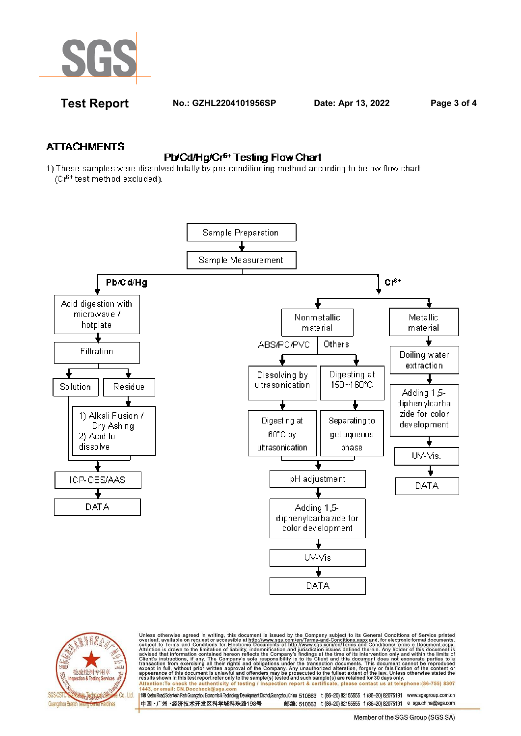

**Test Report No.: GZHL2204101956SP Date: Apr 13, 2022 Page 3 of 4** 

## **ATTACHMENTS**

## Pb/Cd/Hg/Cr<sup>6+</sup> Testing Flow Chart

1) These samples were dissolved totally by pre-conditioning method according to below flow chart. (Cr<sup>6+</sup> test method excluded).





Unless otherwise agreed in writing, this document is issued by the Company subject to its General Conditions of Service printed<br>overleaf, available on request or accessible at http://www.sgs.com/en/Terms-and-Conditions.asp Attention: To check the authenticity of testing / inspection report & certificate, please contact us at telephone: (86-755) 8307<br>1443, or email: CN.Doccheck@sqs.com

1198 Kezhu Road,Scientech Park Guangzhou Economic & Technology Development District,Guangzhou,China 510663 t (86-20) 82155555 f (86-20) 82075191 www.sgsgroup.com.cn 中国·广州·经济技术开发区科学城科珠路198号 邮编: 510663 t (86-20) 82155555 f (86-20) 82075191 e sgs.china@sgs.com